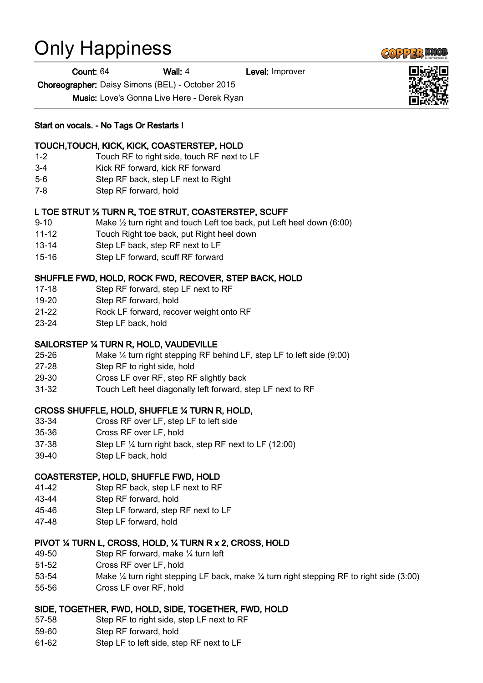# Only Happiness

Count: 64 Wall: 4 Level: Improver

Choreographer: Daisy Simons (BEL) - October 2015

Music: Love's Gonna Live Here - Derek Ryan

### Start on vocals. - No Tags Or Restarts !

### TOUCH,TOUCH, KICK, KICK, COASTERSTEP, HOLD

- 1-2 Touch RF to right side, touch RF next to LF
- 3-4 Kick RF forward, kick RF forward
- 5-6 Step RF back, step LF next to Right
- 7-8 Step RF forward, hold

## L TOE STRUT ½ TURN R, TOE STRUT, COASTERSTEP, SCUFF

- 9-10 Make ½ turn right and touch Left toe back, put Left heel down (6:00)
- 11-12 Touch Right toe back, put Right heel down
- 13-14 Step LF back, step RF next to LF
- 15-16 Step LF forward, scuff RF forward

### SHUFFLE FWD, HOLD, ROCK FWD, RECOVER, STEP BACK, HOLD

- 17-18 Step RF forward, step LF next to RF
- 19-20 Step RF forward, hold
- 21-22 Rock LF forward, recover weight onto RF
- 23-24 Step LF back, hold

### SAILORSTEP ¼ TURN R, HOLD, VAUDEVILLE

- 25-26 Make ¼ turn right stepping RF behind LF, step LF to left side (9:00)
- 27-28 Step RF to right side, hold
- 29-30 Cross LF over RF, step RF slightly back
- 31-32 Touch Left heel diagonally left forward, step LF next to RF

### CROSS SHUFFLE, HOLD, SHUFFLE ¼ TURN R, HOLD,

- 33-34 Cross RF over LF, step LF to left side
- 35-36 Cross RF over LF, hold
- 37-38 Step LF ¼ turn right back, step RF next to LF (12:00)
- 39-40 Step LF back, hold

### COASTERSTEP, HOLD, SHUFFLE FWD, HOLD

- 41-42 Step RF back, step LF next to RF
- 43-44 Step RF forward, hold
- 45-46 Step LF forward, step RF next to LF
- 47-48 Step LF forward, hold

### PIVOT ¼ TURN L, CROSS, HOLD, ¼ TURN R x 2, CROSS, HOLD

- 49-50 Step RF forward, make ¼ turn left
- 51-52 Cross RF over LF, hold
- 53-54 Make ¼ turn right stepping LF back, make ¼ turn right stepping RF to right side (3:00)
- 55-56 Cross LF over RF, hold

### SIDE, TOGETHER, FWD, HOLD, SIDE, TOGETHER, FWD, HOLD

- 57-58 Step RF to right side, step LF next to RF
- 59-60 Step RF forward, hold
- 61-62 Step LF to left side, step RF next to LF